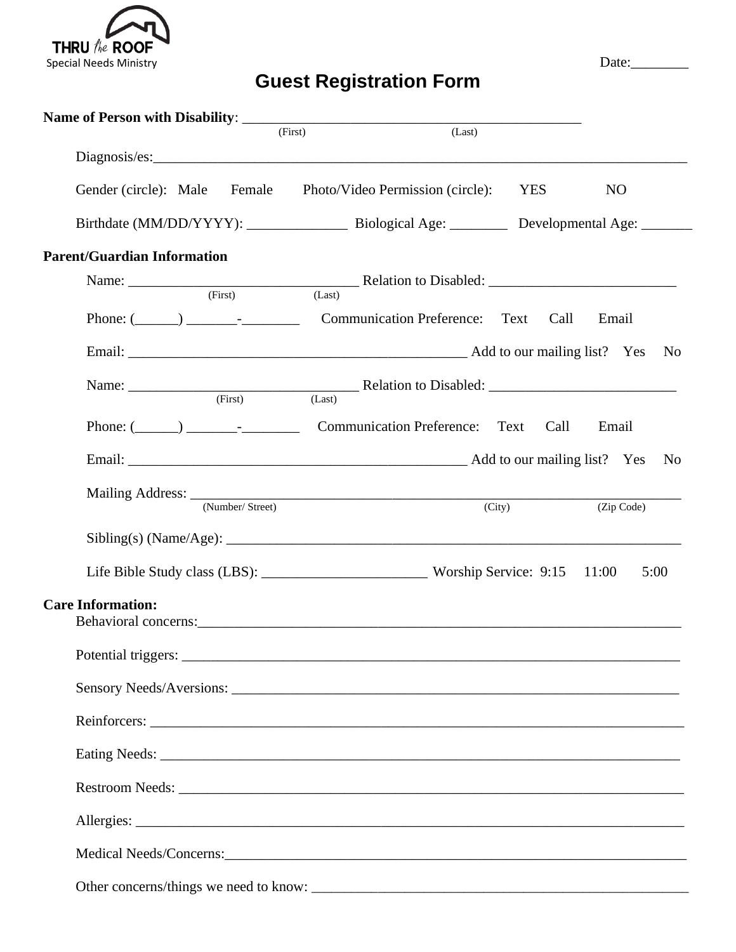

## **Guest Registration Form**

|                                    | (First)<br>(Last)                                                    |        |                |
|------------------------------------|----------------------------------------------------------------------|--------|----------------|
|                                    |                                                                      |        |                |
| Gender (circle): Male              | Female Photo/Video Permission (circle): YES                          |        | N <sub>O</sub> |
|                                    |                                                                      |        |                |
| <b>Parent/Guardian Information</b> |                                                                      |        |                |
|                                    | Name: $\frac{\text{Feature:}}{\text{(First)}}$ Relation to Disabled: |        |                |
|                                    |                                                                      |        |                |
|                                    |                                                                      |        |                |
|                                    |                                                                      |        |                |
|                                    | Phone: (Call Communication Preference: Text Call                     |        | Email          |
|                                    |                                                                      |        |                |
| (Number/ Street)                   |                                                                      | (City) | (Zip Code)     |
|                                    |                                                                      |        |                |
|                                    |                                                                      |        | 5:00           |
| <b>Care Information:</b>           |                                                                      |        |                |
|                                    |                                                                      |        |                |
|                                    |                                                                      |        |                |
|                                    |                                                                      |        |                |
|                                    |                                                                      |        |                |
|                                    |                                                                      |        |                |
|                                    |                                                                      |        |                |
|                                    |                                                                      |        |                |
|                                    |                                                                      |        |                |